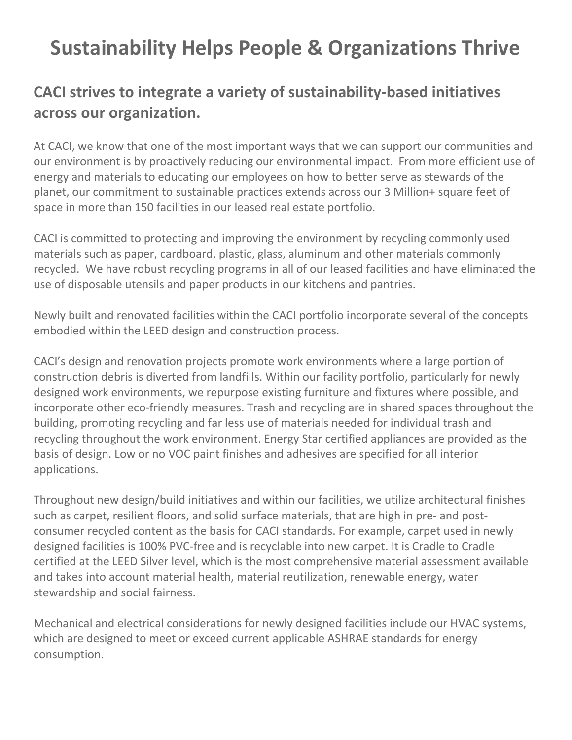## Sustainability Helps People & Organizations Thrive

## CACI strives to integrate a variety of sustainability-based initiatives across our organization.

At CACI, we know that one of the most important ways that we can support our communities and our environment is by proactively reducing our environmental impact. From more efficient use of energy and materials to educating our employees on how to better serve as stewards of the planet, our commitment to sustainable practices extends across our 3 Million+ square feet of space in more than 150 facilities in our leased real estate portfolio.

CACI is committed to protecting and improving the environment by recycling commonly used materials such as paper, cardboard, plastic, glass, aluminum and other materials commonly recycled. We have robust recycling programs in all of our leased facilities and have eliminated the use of disposable utensils and paper products in our kitchens and pantries.

Newly built and renovated facilities within the CACI portfolio incorporate several of the concepts embodied within the LEED design and construction process.

CACI's design and renovation projects promote work environments where a large portion of construction debris is diverted from landfills. Within our facility portfolio, particularly for newly designed work environments, we repurpose existing furniture and fixtures where possible, and incorporate other eco-friendly measures. Trash and recycling are in shared spaces throughout the building, promoting recycling and far less use of materials needed for individual trash and recycling throughout the work environment. Energy Star certified appliances are provided as the basis of design. Low or no VOC paint finishes and adhesives are specified for all interior applications.

Throughout new design/build initiatives and within our facilities, we utilize architectural finishes such as carpet, resilient floors, and solid surface materials, that are high in pre- and postconsumer recycled content as the basis for CACI standards. For example, carpet used in newly designed facilities is 100% PVC-free and is recyclable into new carpet. It is Cradle to Cradle certified at the LEED Silver level, which is the most comprehensive material assessment available and takes into account material health, material reutilization, renewable energy, water stewardship and social fairness.

Mechanical and electrical considerations for newly designed facilities include our HVAC systems, which are designed to meet or exceed current applicable ASHRAE standards for energy consumption.